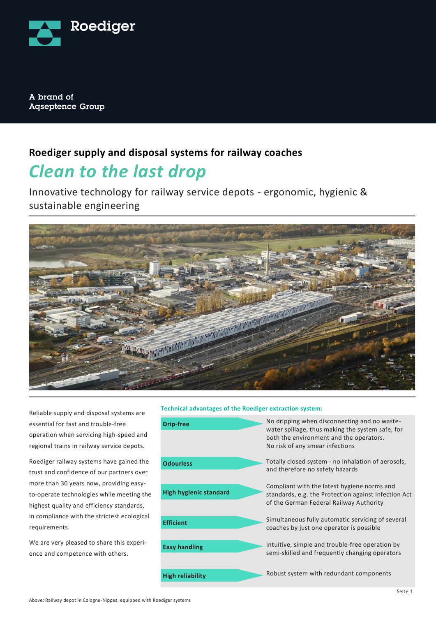

A brand of **Agseptence Group** 

### **Roediger supply and disposal systems for railway coaches**

# *Clean to the last drop*

Innovative technology for railway service depots - ergonomic, hygienic & sustainable engineering



Reliable supply and disposal systems are essential for fast and trouble-free operation when servicing high-speed and regional trains in railway service depots.

Roediger railway systems have gained the trust and confidence of our partners over more than 30 years now, providing easyto-operate technologies while meeting the highest quality and efficiency standards, in compliance with the strictest ecological requirements.

We are very pleased to share this experience and competence with others.

### **Technical advantages of the Roediger extraction system:**

| <b>Drip-free</b>       | No dripping when disconnecting and no waste-<br>water spillage, thus making the system safe, for<br>both the environment and the operators.<br>No risk of any smear infections |
|------------------------|--------------------------------------------------------------------------------------------------------------------------------------------------------------------------------|
| <b>Odourless</b>       | Totally closed system - no inhalation of aerosols,<br>and therefore no safety hazards                                                                                          |
| High hygienic standard | Compliant with the latest hygiene norms and<br>standards, e.g. the Protection against Infection Act<br>of the German Federal Railway Authority                                 |
| <b>Efficient</b>       | Simultaneous fully automatic servicing of several<br>coaches by just one operator is possible                                                                                  |
| <b>Easy handling</b>   | Intuitive, simple and trouble-free operation by<br>semi-skilled and frequently changing operators                                                                              |
| High reliability       | Robust system with redundant components                                                                                                                                        |